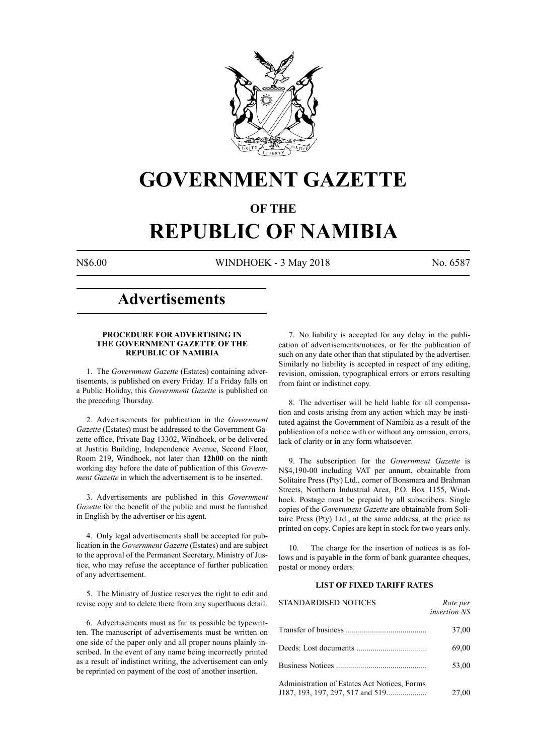

## **GOVERNMENT GAZETTE**

### **OF THE**

# **REPUBLIC OF NAMIBIA**

N\$6.00 WINDHOEK - 3 May 2018 No. 6587

### **Advertisements**

#### **PROCEDURE FOR ADVERTISING IN THE GOVERNMENT GAZETTE OF THE REPUBLIC OF NAMIBIA**

1. The *Government Gazette* (Estates) containing advertisements, is published on every Friday. If a Friday falls on a Public Holiday, this *Government Gazette* is published on the preceding Thursday.

2. Advertisements for publication in the *Government Gazette* (Estates) must be addressed to the Government Gazette office, Private Bag 13302, Windhoek, or be delivered at Justitia Building, Independence Avenue, Second Floor, Room 219, Windhoek, not later than **12h00** on the ninth working day before the date of publication of this *Government Gazette* in which the advertisement is to be inserted.

3. Advertisements are published in this *Government Gazette* for the benefit of the public and must be furnished in English by the advertiser or his agent.

4. Only legal advertisements shall be accepted for publication in the *Government Gazette* (Estates) and are subject to the approval of the Permanent Secretary, Ministry of Justice, who may refuse the acceptance of further publication of any advertisement.

5. The Ministry of Justice reserves the right to edit and revise copy and to delete there from any superfluous detail.

6. Advertisements must as far as possible be typewritten. The manuscript of advertisements must be written on one side of the paper only and all proper nouns plainly inscribed. In the event of any name being incorrectly printed as a result of indistinct writing, the advertisement can only be reprinted on payment of the cost of another insertion.

7. No liability is accepted for any delay in the publication of advertisements/notices, or for the publication of such on any date other than that stipulated by the advertiser. Similarly no liability is accepted in respect of any editing, revision, omission, typographical errors or errors resulting from faint or indistinct copy.

8. The advertiser will be held liable for all compensation and costs arising from any action which may be instituted against the Government of Namibia as a result of the publication of a notice with or without any omission, errors, lack of clarity or in any form whatsoever.

9. The subscription for the *Government Gazette* is N\$4,190-00 including VAT per annum, obtainable from Solitaire Press (Pty) Ltd., corner of Bonsmara and Brahman Streets, Northern Industrial Area, P.O. Box 1155, Windhoek. Postage must be prepaid by all subscribers. Single copies of the *Government Gazette* are obtainable from Solitaire Press (Pty) Ltd., at the same address, at the price as printed on copy. Copies are kept in stock for two years only.

10. The charge for the insertion of notices is as follows and is payable in the form of bank guarantee cheques, postal or money orders:

#### **LIST OF FIXED TARIFF RATES**

| <b>STANDARDISED NOTICES</b>                  | Rate per<br><i>insertion NS</i> |
|----------------------------------------------|---------------------------------|
|                                              | 37,00                           |
|                                              | 69,00                           |
|                                              | 53,00                           |
| Administration of Estates Act Notices, Forms | 27,00                           |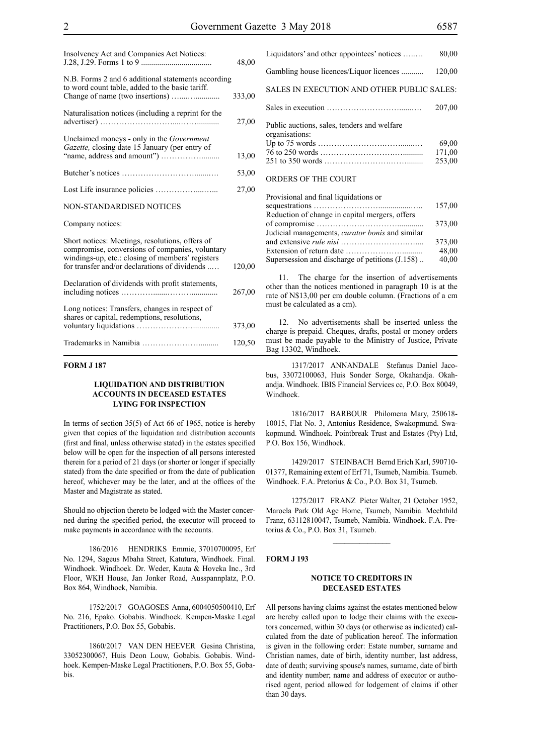| Insolvency Act and Companies Act Notices:                                                                                                                                                               | 48,00  |
|---------------------------------------------------------------------------------------------------------------------------------------------------------------------------------------------------------|--------|
| N.B. Forms 2 and 6 additional statements according<br>to word count table, added to the basic tariff.                                                                                                   | 333,00 |
| Naturalisation notices (including a reprint for the                                                                                                                                                     | 27,00  |
| Unclaimed moneys - only in the <i>Government</i><br>Gazette, closing date 15 January (per entry of                                                                                                      | 13,00  |
|                                                                                                                                                                                                         | 53,00  |
|                                                                                                                                                                                                         | 27,00  |
| <b>NON-STANDARDISED NOTICES</b>                                                                                                                                                                         |        |
| Company notices:                                                                                                                                                                                        |        |
| Short notices: Meetings, resolutions, offers of<br>compromise, conversions of companies, voluntary<br>windings-up, etc.: closing of members' registers<br>for transfer and/or declarations of dividends | 120,00 |
| Declaration of dividends with profit statements,                                                                                                                                                        | 267,00 |
| Long notices: Transfers, changes in respect of<br>shares or capital, redemptions, resolutions,                                                                                                          | 373,00 |
|                                                                                                                                                                                                         | 120,50 |

#### **FORM J 187**

#### **LIQUIDATION AND DISTRIBUTION ACCOUNTS IN DECEASED ESTATES LYING FOR INSPECTION**

In terms of section 35(5) of Act 66 of 1965, notice is hereby given that copies of the liquidation and distribution accounts (first and final, unless otherwise stated) in the estates specified below will be open for the inspection of all persons interested therein for a period of 21 days (or shorter or longer if specially stated) from the date specified or from the date of publication hereof, whichever may be the later, and at the offices of the Master and Magistrate as stated.

Should no objection thereto be lodged with the Master concerned during the specified period, the executor will proceed to make payments in accordance with the accounts.

186/2016 HENDRIKS Emmie, 37010700095, Erf No. 1294, Sageus Mbaha Street, Katutura, Windhoek. Final. Windhoek. Windhoek. Dr. Weder, Kauta & Hoveka Inc., 3rd Floor, WKH House, Jan Jonker Road, Ausspannplatz, P.O. Box 864, Windhoek, Namibia.

1752/2017 GOAGOSES Anna, 6004050500410, Erf No. 216, Epako. Gobabis. Windhoek. Kempen-Maske Legal Practitioners, P.O. Box 55, Gobabis.

1860/2017 VAN DEN HEEVER Gesina Christina, 33052300067, Huis Deon Louw, Gobabis. Gobabis. Windhoek. Kempen-Maske Legal Practitioners, P.O. Box 55, Gobabis.

| Liquidators' and other appointees' notices                    | 80,00            |
|---------------------------------------------------------------|------------------|
| Gambling house licences/Liquor licences                       | 120,00           |
| SALES IN EXECUTION AND OTHER PUBLIC SALES:                    |                  |
|                                                               | 207,00           |
| Public auctions, sales, tenders and welfare<br>organisations: | 69.00            |
|                                                               | 171,00<br>253,00 |
| $\alpha$ nnna $\alpha$ nnun $\alpha$ $\alpha$ unn             |                  |

#### ORDERS OF THE COURT

| Provisional and final liquidations or                  |        |
|--------------------------------------------------------|--------|
|                                                        | 157,00 |
| Reduction of change in capital mergers, offers         |        |
|                                                        | 373,00 |
| Judicial managements, <i>curator bonis</i> and similar |        |
|                                                        | 373,00 |
|                                                        | 48,00  |
| Supersession and discharge of petitions $(1.158)$ .    | 40,00  |
|                                                        |        |

11. The charge for the insertion of advertisements other than the notices mentioned in paragraph 10 is at the rate of N\$13,00 per cm double column. (Fractions of a cm must be calculated as a cm).

12. No advertisements shall be inserted unless the charge is prepaid. Cheques, drafts, postal or money orders must be made payable to the Ministry of Justice, Private Bag 13302, Windhoek.

1317/2017 ANNANDALE Stefanus Daniel Jacobus, 33072100063, Huis Sonder Sorge, Okahandja. Okahandja. Windhoek. IBIS Financial Services cc, P.O. Box 80049, Windhoek.

1816/2017 BARBOUR Philomena Mary, 250618- 10015, Flat No. 3, Antonius Residence, Swakopmund. Swakopmund. Windhoek. Pointbreak Trust and Estates (Pty) Ltd, P.O. Box 156, Windhoek.

1429/2017 STEINBACH Bernd Erich Karl, 590710- 01377, Remaining extent of Erf 71, Tsumeb, Namibia. Tsumeb. Windhoek. F.A. Pretorius & Co., P.O. Box 31, Tsumeb.

1275/2017 FRANZ Pieter Walter, 21 October 1952, Maroela Park Old Age Home, Tsumeb, Namibia. Mechthild Franz, 63112810047, Tsumeb, Namibia. Windhoek. F.A. Pretorius & Co., P.O. Box 31, Tsumeb.

#### **FORM J 193**

#### **NOTICE TO CREDITORS IN DECEASED ESTATES**

All persons having claims against the estates mentioned below are hereby called upon to lodge their claims with the executors concerned, within 30 days (or otherwise as indicated) calculated from the date of publication hereof. The information is given in the following order: Estate number, surname and Christian names, date of birth, identity number, last address, date of death; surviving spouse's names, surname, date of birth and identity number; name and address of executor or authorised agent, period allowed for lodgement of claims if other than 30 days.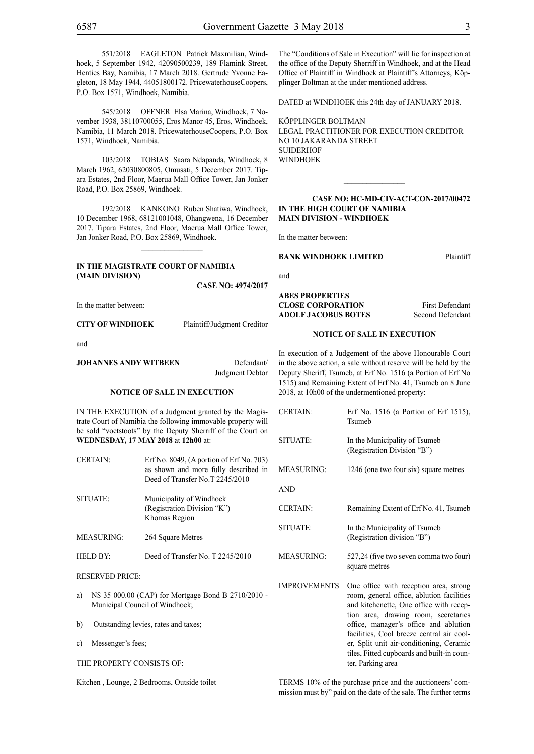551/2018 EAGLETON Patrick Maxmilian, Windhoek, 5 September 1942, 42090500239, 189 Flamink Street, Henties Bay, Namibia, 17 March 2018. Gertrude Yvonne Eagleton, 18 May 1944, 44051800172. PricewaterhouseCoopers, P.O. Box 1571, Windhoek, Namibia.

545/2018 OFFNER Elsa Marina, Windhoek, 7 November 1938, 38110700055, Eros Manor 45, Eros, Windhoek, Namibia, 11 March 2018. PricewaterhouseCoopers, P.O. Box 1571, Windhoek, Namibia.

103/2018 TOBIAS Saara Ndapanda, Windhoek, 8 March 1962, 62030800805, Omusati, 5 December 2017. Tipara Estates, 2nd Floor, Maerua Mall Office Tower, Jan Jonker Road, P.O. Box 25869, Windhoek.

192/2018 KANKONO Ruben Shatiwa, Windhoek, 10 December 1968, 68121001048, Ohangwena, 16 December 2017. Tipara Estates, 2nd Floor, Maerua Mall Office Tower, Jan Jonker Road, P.O. Box 25869, Windhoek.

 $\mathcal{L}=\mathcal{L}^{\mathcal{L}}$ 

#### **IN THE MAGISTRATE COURT OF NAMIBIA (Main Division)**

**CASE NO: 4974/2017**

In the matter between:

#### **CITY OF WINDHOEK** Plaintiff/Judgment Creditor

and

#### **JOHANNES ANDY WITBEEN** Defendant/

Judgment Debtor

#### **NOTICE OF SALE IN EXECUTION**

IN THE EXECUTION of a Judgment granted by the Magistrate Court of Namibia the following immovable property will be sold "voetstoots" by the Deputy Sherriff of the Court on **WEDNESDAY, 17 MAY 2018** at **12h00** at:

| <b>CERTAIN:</b>                | Erf No. 8049, (A portion of Erf No. 703)            |            |
|--------------------------------|-----------------------------------------------------|------------|
|                                | as shown and more fully described in                | <b>ME</b>  |
|                                | Deed of Transfer No. T 2245/2010                    |            |
|                                |                                                     | AN         |
| SITUATE:                       | Municipality of Windhoek                            |            |
|                                | (Registration Division "K")                         | <b>CEI</b> |
|                                | Khomas Region                                       |            |
|                                |                                                     | <b>SIT</b> |
| <b>MEASURING:</b>              | 264 Square Metres                                   |            |
| <b>HELD BY:</b>                | Deed of Transfer No. T 2245/2010                    | <b>ME</b>  |
| <b>RESERVED PRICE:</b>         |                                                     |            |
|                                |                                                     | IMF        |
| a)                             | N\$ 35 000.00 (CAP) for Mortgage Bond B 2710/2010 - |            |
| Municipal Council of Windhoek; |                                                     |            |

b) Outstanding levies, rates and taxes;

c) Messenger's fees;

THE PROPERTY CONSISTS OF:

Kitchen , Lounge, 2 Bedrooms, Outside toilet

The "Conditions of Sale in Execution" will lie for inspection at the office of the Deputy Sherriff in Windhoek, and at the Head Office of Plaintiff in Windhoek at Plaintiff's Attorneys, Köpplinger Boltman at the under mentioned address.

DATED at WINDHOEK this 24th day of JANUARY 2018.

KÖPPLINGER BOLTMAN LEGAL PRACTITIONER FOR EXECUTION CREDITOR NO 10 JAKARANDA STREET **SUIDERHOF** WINDHOEK

#### **CASE NO: HC-MD-CIV-ACT-CON-2017/00472 IN THE HIGH COURT OF NAMIBIA MAIN DIVISION - WINDHOEK**

 $\overline{\phantom{a}}$  ,  $\overline{\phantom{a}}$  ,  $\overline{\phantom{a}}$  ,  $\overline{\phantom{a}}$  ,  $\overline{\phantom{a}}$  ,  $\overline{\phantom{a}}$  ,  $\overline{\phantom{a}}$  ,  $\overline{\phantom{a}}$  ,  $\overline{\phantom{a}}$  ,  $\overline{\phantom{a}}$  ,  $\overline{\phantom{a}}$  ,  $\overline{\phantom{a}}$  ,  $\overline{\phantom{a}}$  ,  $\overline{\phantom{a}}$  ,  $\overline{\phantom{a}}$  ,  $\overline{\phantom{a}}$ 

In the matter between:

#### **BANK WINDHOEK LIMITED** Plaintiff

and

**ABES PROPERTIES CLOSE CORPORATION** First Defendant **ADOLF JACOBUS BOTES** Second Defendant

#### **NOTICE OF SALE IN EXECUTION**

In execution of a Judgement of the above Honourable Court in the above action, a sale without reserve will be held by the Deputy Sheriff, Tsumeb, at Erf No. 1516 (a Portion of Erf No 1515) and Remaining Extent of Erf No. 41, Tsumeb on 8 June 2018, at 10h00 of the undermentioned property:

| <b>CERTAIN:</b>     | Erf No. 1516 (a Portion of Erf 1515),<br>Tsumeb                                                                                                                                                                                                                                                                                                                             |
|---------------------|-----------------------------------------------------------------------------------------------------------------------------------------------------------------------------------------------------------------------------------------------------------------------------------------------------------------------------------------------------------------------------|
| SITUATE:            | In the Municipality of Tsumeb<br>(Registration Division "B")                                                                                                                                                                                                                                                                                                                |
| <b>MEASURING:</b>   | 1246 (one two four six) square metres                                                                                                                                                                                                                                                                                                                                       |
| <b>AND</b>          |                                                                                                                                                                                                                                                                                                                                                                             |
| <b>CERTAIN:</b>     | Remaining Extent of Erf No. 41, Tsumeb                                                                                                                                                                                                                                                                                                                                      |
| SITUATE:            | In the Municipality of Tsumeb<br>(Registration division "B")                                                                                                                                                                                                                                                                                                                |
| <b>MEASURING:</b>   | 527,24 (five two seven comma two four)<br>square metres                                                                                                                                                                                                                                                                                                                     |
| <b>IMPROVEMENTS</b> | One office with reception area, strong<br>room, general office, ablution facilities<br>and kitchenette, One office with recep-<br>tion area, drawing room, secretaries<br>office, manager's office and ablution<br>facilities, Cool breeze central air cool-<br>er, Split unit air-conditioning, Ceramic<br>tiles, Fitted cupboards and built-in coun-<br>ter, Parking area |

TERMS 10% of the purchase price and the auctioneers' commission must bÿ" paid on the date of the sale. The further terms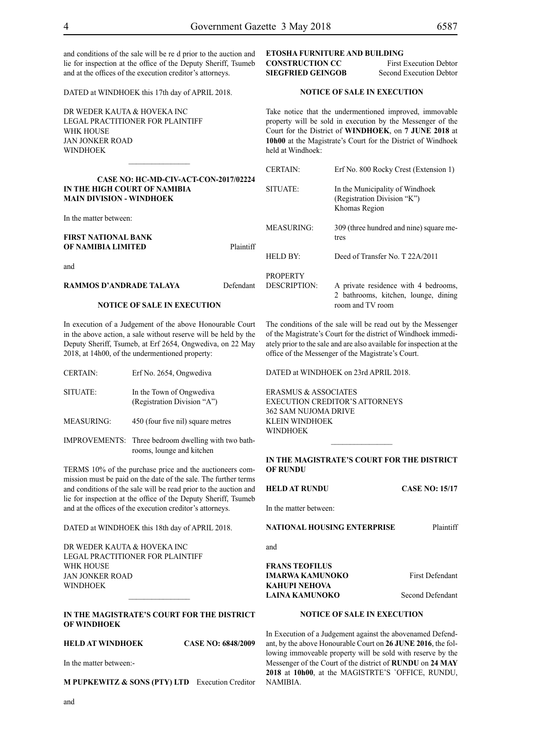and conditions of the sale will be re d prior to the auction and lie for inspection at the office of the Deputy Sheriff, Tsumeb and at the offices of the execution creditor's attorneys.

DATED at WINDHOEK this 17th day of APRIL 2018.

DR WEDER KAUTA & HOVEKA INC Legal Practitioner for Plaintiff WHK HOUSE Jan Jonker Road WINDHOEK

#### **CASE NO: HC-MD-CIV-ACT-CON-2017/02 IN THE HIGH COURT OF NAMIBIA MAIN DIVISION - WINDHOEK**

 $\frac{1}{2}$ 

In the matter between:

#### **FIRST NATIONAL BANK OF NAMIBIA LIMITED** Plain

and

#### **RAMMOS D'ANDRADE TALAYA** Defene

#### **NOTICE OF SALE IN EXECUTION**

In execution of a Judgement of the above Honourable Court in the above action, a sale without reserve will be held by the Deputy Sheriff, Tsumeb, at Erf 2654, Ongwediva, on 22 May 2018, at 14h00, of the undermentioned property:

| <b>CERTAIN:</b>   | Erf No. 2654, Ongwediya                                                          |
|-------------------|----------------------------------------------------------------------------------|
| SITUATE:          | In the Town of Ongwediva<br>(Registration Division "A")                          |
| <b>MEASURING:</b> | 450 (four five nil) square metres                                                |
|                   | IMPROVEMENTS: Three bedroom dwelling with two bath-<br>rooms, lounge and kitchen |

TERMS 10% of the purchase price and the auctioneers commission must be paid on the date of the sale. The further terms and conditions of the sale will be read prior to the auction and lie for inspection at the office of the Deputy Sheriff, Tsumeb and at the offices of the execution creditor's attorneys.

DATED at WINDHOEK this 18th day of APRIL 2018.

DR WEDER KAUTA & HOVEKA INC Legal Practitioner for Plaintiff WHK HOUSE Jan Jonker Road **WINDHOEK** 

#### **IN THE MAGISTRATE'S COURT FOR THE DISTRICT OF WINDHOEK**

#### **HELD AT WINDHOEK CASE NO: 6848/2009**

In the matter between:-

**M PUPKEWITZ & SONS (PTY) LTD** Execution Creditor

**ETOSHA FURNITURE AND BUILDING CONSTRUCTION CC** First Execution Debtor **SIEGFRIED GEINGOB** Second Execution Debtor

#### **NOTICE OF SALE IN EXECUTION**

Take notice that the undermentioned improved, immovable property will be sold in execution by the Messenger of the Court for the District of **WINDHOEK**, on **7 JUNE 2018** at **10h00** at the Magistrate's Court for the District of Windhoek held at Windhoek:

| 2224  | <b>CERTAIN:</b>                        | Erf No. 800 Rocky Crest (Extension 1)                                                            |
|-------|----------------------------------------|--------------------------------------------------------------------------------------------------|
|       | SITUATE:                               | In the Municipality of Windhoek<br>(Registration Division "K")<br>Khomas Region                  |
|       | <b>MEASURING:</b>                      | 309 (three hundred and nine) square me-<br>tres                                                  |
| ntiff | <b>HELD BY:</b>                        | Deed of Transfer No. T 22A/2011                                                                  |
| dant  | <b>PROPERTY</b><br><b>DESCRIPTION:</b> | A private residence with 4 bedrooms,<br>2 bathrooms, kitchen, lounge, dining<br>room and TV room |

The conditions of the sale will be read out by the Messenger of the Magistrate's Court for the district of Windhoek immediately prior to the sale and are also available for inspection at the office of the Messenger of the Magistrate's Court.

DATED at WINDHOEK on 23rd APRIL 2018.

ERASMUS & ASSOCIATES EXECUTION CREDITOR'S ATTORNEYS 362 SAM NUJOMA DRIVE KLEIN WINDHOEK WINDHOEK

#### **IN THE MAGISTRATE'S COURT FOR THE DISTRICT OF RUNDU**

 $\frac{1}{2}$ 

**HELD AT RUNDU Case No: 15/17**

In the matter between:

**NATIONAL HOUSING ENTERPRISE** Plaintiff

and

**Frans TEOFILUS IMARWA KAMUNOKO** First Defendant **KAHUPI NEHOVA LAINA KAMUNOKO** Second Defendant

#### **NOTICE OF SALE IN EXECUTION**

In Execution of a Judgement against the abovenamed Defendant, by the above Honourable Court on **26 JUNE 2016**, the following immoveable property will be sold with reserve by the Messenger of the Court of the district of **RUNDU** on **24 MAY**  2018 at 10h00, at the MAGISTRTE'S 'OFFICE, RUNDU, NAMIBIA.

#### and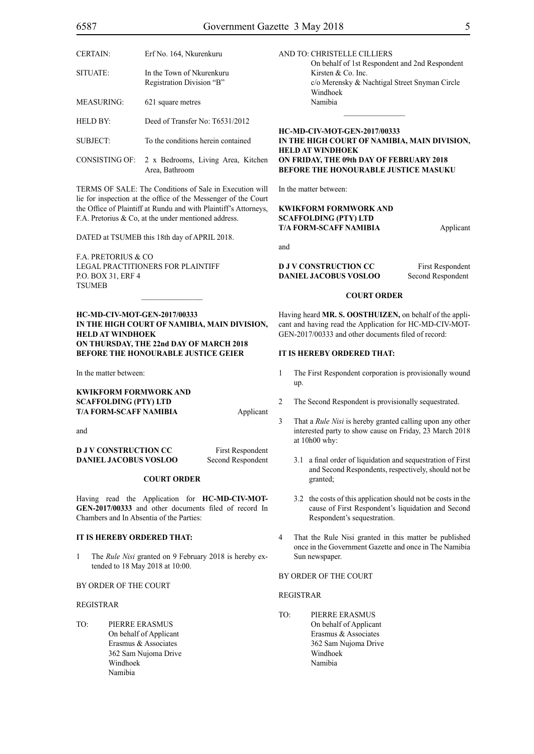| CERTAIN:        | Erf No. 164, Nkurenkuru                                             |
|-----------------|---------------------------------------------------------------------|
| SITUATE:        | In the Town of Nkurenkuru<br>Registration Division "B"              |
| MEASURING:      | 621 square metres                                                   |
| HELD BY:        | Deed of Transfer No: T6531/2012                                     |
| <b>SUBJECT:</b> | To the conditions herein contained                                  |
|                 | CONSISTING OF: 2 x Bedrooms, Living Area, Kitchen<br>Area, Bathroom |

TERMS OF SALE: The Conditions of Sale in Execution will lie for inspection at the office of the Messenger of the Court the Office of Plaintiff at Rundu and with Plaintiff's Attorneys, F.A. Pretorius & Co, at the under mentioned address.

DATED at TSUMEB this 18th day of APRIL 2018.

F.A. PRETORIUS & CO Legal Practitioners for Plaintiff P.O. BOX 31, ERF 4 TSUMEB

**HC-MD-CIV-MOT-GEN-2017/00333 IN THE HIGH COURT OF NAMIBIA, MAIN DIVISION, HELD AT WINDHOEK ON THURSDAY, THE 22nd DAY OF MARCH 2018 BEFORE THE HONOURABLE JUSTICE GEIER**

 $\mathcal{L}=\mathcal{L}^{\mathcal{L}}$ 

In the matter between:

**KWIKFORM FORMWORK AND SCAFFOLDING (PTY) LTD T/A FORM-SCAFF NAMIBIA** Applicant

and

#### **D J V CONSTRUCTION CC** First Respondent **DANIEL JACOBUS VOSLOO** Second Respondent

#### **COURT ORDER**

Having read the Application for **HC-MD-CIV-MOT-GEN-2017/00333** and other documents filed of record In Chambers and In Absentia of the Parties:

#### **IT IS HEREBY ORDERED THAT:**

1 The *Rule Nisi* granted on 9 February 2018 is hereby extended to 18 May 2018 at 10:00.

#### BY ORDER OF THE COURT

#### REGISTRAR

TO: PIERRE ERASMUS On behalf of Applicant Erasmus & Associates 362 Sam Nujoma Drive Windhoek Namibia

| AND TO: CHRISTELLE CILLIERS                    |
|------------------------------------------------|
| On behalf of 1st Respondent and 2nd Respondent |
| Kirsten $& Co.$ Inc.                           |
| c/o Merensky & Nachtigal Street Snyman Circle  |
| Windhoek                                       |
| Namibia                                        |
|                                                |

**HC-MD-CIV-MOT-GEN-2017/00333 IN THE HIGH COURT OF NAMIBIA, MAIN DIVISION, HELD AT WINDHOEK ON FRIDAY, THE 09th DAY OF FEBRUARY 2018 BEFORE THE HONOURABLE JUSTICE MASUKU**

In the matter between:

#### **KWIKFORM FORMWORK AND SCAFFOLDING (PTY) LTD T/A FORM-SCAFF NAMIBIA** Applicant

and

**D J V CONSTRUCTION CC** First Respondent **DANIEL JACOBUS VOSLOO** Second Respondent

## **COURT ORDER**

Having heard **MR. S. OOSTHUIZEN,** on behalf of the applicant and having read the Application for HC-MD-CIV-MOT-GEN-2017/00333 and other documents filed of record:

#### **IT IS HEREBY ORDERED THAT:**

- 1 The First Respondent corporation is provisionally wound up.
- 2 The Second Respondent is provisionally sequestrated.
- 3 That a *Rule Nisi* is hereby granted calling upon any other interested party to show cause on Friday, 23 March 2018 at 10h00 why:
	- 3.1 a final order of liquidation and sequestration of First and Second Respondents, respectively, should not be granted;
	- 3.2 the costs of this application should not be costs in the cause of First Respondent's liquidation and Second Respondent's sequestration.
- 4 That the Rule Nisi granted in this matter be published once in the Government Gazette and once in The Namibia Sun newspaper.

BY ORDER OF THE COURT

#### REGISTRAR

TO: PIERRE ERASMUS On behalf of Applicant Erasmus & Associates 362 Sam Nujoma Drive Windhoek Namibia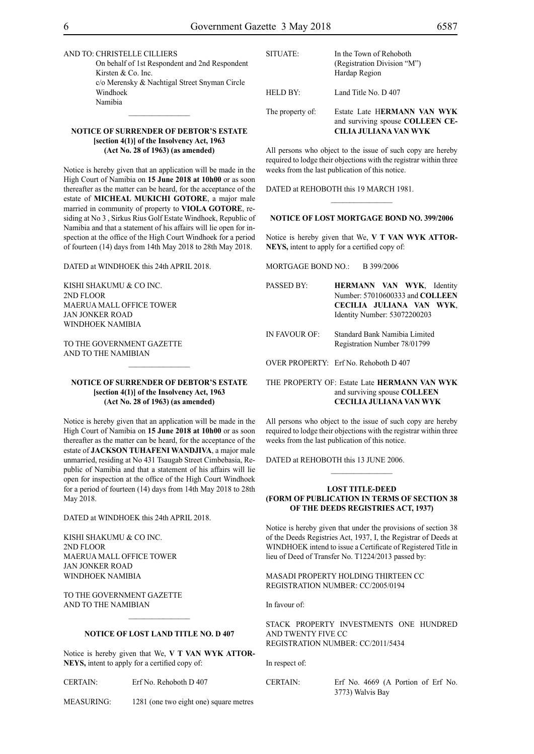| AND TO: CHRISTELLE CILLIERS                    |
|------------------------------------------------|
| On behalf of 1st Respondent and 2nd Respondent |
| Kirsten $& Co.$ Inc.                           |
| c/o Merensky & Nachtigal Street Snyman Circle  |
| Windhoek                                       |
| Namibia                                        |
|                                                |

#### **NOTICE OF SURRENDER OF DEBTOR'S ESTATE [section 4(1)] of the Insolvency Act, 1963 (Act No. 28 of 1963) (as amended)**

Notice is hereby given that an application will be made in the High Court of Namibia on **15 June 2018 at 10h00** or as soon thereafter as the matter can be heard, for the acceptance of the estate of **MICHEAL MUKICHI GOTORE**, a major male married in community of property to **VIOLA GOTORE**, residing at No 3 , Sirkus Rius Golf Estate Windhoek, Republic of Namibia and that a statement of his affairs will lie open for inspection at the office of the High Court Windhoek for a period of fourteen (14) days from 14th May 2018 to 28th May 2018.

DATED at WINDHOEK this 24th APRIL 2018.

KISHI SHAKUMU & Co Inc. 2ND FLOOR MAERUA MALL OFFICE TOWER JAN JONKER ROAD WINDHOEK NAMIBIA

TO THE GOVERNMENT GAZETTE AND TO THE NAMIBIAN

#### **NOTICE OF SURRENDER OF DEBTOR'S ESTATE [section 4(1)] of the Insolvency Act, 1963 (Act No. 28 of 1963) (as amended)**

 $\frac{1}{2}$ 

Notice is hereby given that an application will be made in the High Court of Namibia on **15 June 2018 at 10h00** or as soon thereafter as the matter can be heard, for the acceptance of the estate of **JACKSON TUHAFENI WANDJIVA**, a major male unmarried, residing at No 431 Tsaugab Street Cimbebasia, Republic of Namibia and that a statement of his affairs will lie open for inspection at the office of the High Court Windhoek for a period of fourteen (14) days from 14th May 2018 to 28th May 2018.

DATED at WINDHOEK this 24th APRIL 2018.

KISHI SHAKUMU & Co Inc. 2ND FLOOR MAERUA MALL OFFICE TOWER JAN JONKER ROAD WINDHOEK NAMIBIA

TO THE GOVERNMENT GAZETTE AND TO THE NAMIBIAN

#### **NOTICE OF LOST LAND TITLE NO. D 407**

Notice is hereby given that We, **V T VAN WYK ATTOR-NEYS,** intent to apply for a certified copy of:

CERTAIN: Erf No. Rehoboth D 407

MEASURING: 1281 (one two eight one) square metres

All persons who object to the issue of such copy are hereby required to lodge their objections with the registrar within three weeks from the last publication of this notice.

DATED at REHOBOTH this 19 MARCH 1981.

#### **NOTICE OF LOST MORTGAGE BOND NO. 399/2006**

 $\frac{1}{2}$ 

Notice is hereby given that We, **V T VAN WYK ATTOR-NEYS,** intent to apply for a certified copy of:

MORTGAGE BOND NO.: B 399/2006

- PASSED BY: **HERMANN VAN WYK**, Identity Number: 57010600333 and **COLLEEN CECILIA JULIANA VAN WYK**, Identity Number: 53072200203
- IN FAVOUR OF: Standard Bank Namibia Limited Registration Number 78/01799

OVER PROPERTY: Erf No. Rehoboth D 407

#### The Property Of: Estate Late **HERMANN VAN WYK**  and surviving spouse **COLLEEN CECILIA JULIANA VAN WYK**

All persons who object to the issue of such copy are hereby required to lodge their objections with the registrar within three weeks from the last publication of this notice.

DATED at REHOBOTH this 13 JUNE 2006.

#### **LOST TITLE-DEED (FORM OF PUBLICATION IN TERMS OF SECTION 38 OF THE DEEDS REGISTRIES ACT, 1937)**

 $\frac{1}{2}$ 

Notice is hereby given that under the provisions of section 38 of the Deeds Registries Act, 1937, I, the Registrar of Deeds at WINDHOEK intend to issue a Certificate of Registered Title in lieu of Deed of Transfer No. T1224/2013 passed by:

MASADI PROPERTY HOLDING THIRTEEN CC REGISTRATION NUMBER: CC/2005/0194

In favour of:

STACK PROPERTY INVESTMENTS ONE HUNDRED AND TWENTY FIVE CC REGISTRATION NUMBER: CC/2011/5434

In respect of:

| <b>CERTAIN:</b> | Erf No. 4669 (A Portion of Erf No. |  |  |  |
|-----------------|------------------------------------|--|--|--|
|                 | 3773) Walvis Bay                   |  |  |  |